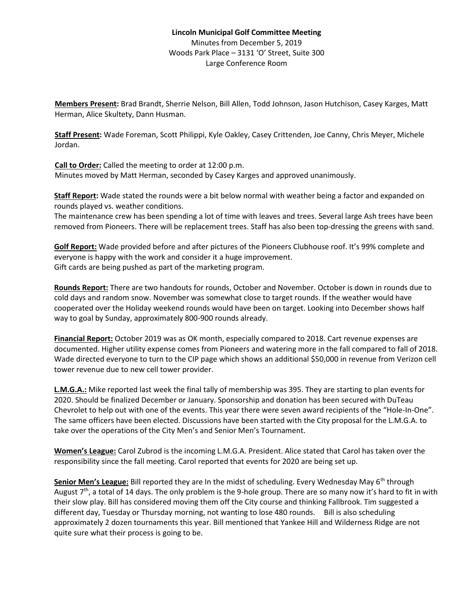## **Lincoln Municipal Golf Committee Meeting** Minutes from December 5, 2019 Woods Park Place – 3131 'O' Street, Suite 300 Large Conference Room

**Members Present:** Brad Brandt, Sherrie Nelson, Bill Allen, Todd Johnson, Jason Hutchison, Casey Karges, Matt Herman, Alice Skultety, Dann Husman.

**Staff Present:** Wade Foreman, Scott Philippi, Kyle Oakley, Casey Crittenden, Joe Canny, Chris Meyer, Michele Jordan.

**Call to Order:** Called the meeting to order at 12:00 p.m. Minutes moved by Matt Herman, seconded by Casey Karges and approved unanimously.

**Staff Report:** Wade stated the rounds were a bit below normal with weather being a factor and expanded on rounds played vs. weather conditions.

The maintenance crew has been spending a lot of time with leaves and trees. Several large Ash trees have been removed from Pioneers. There will be replacement trees. Staff has also been top-dressing the greens with sand.

**Golf Report:** Wade provided before and after pictures of the Pioneers Clubhouse roof. It's 99% complete and everyone is happy with the work and consider it a huge improvement. Gift cards are being pushed as part of the marketing program.

**Rounds Report:** There are two handouts for rounds, October and November. October is down in rounds due to cold days and random snow. November was somewhat close to target rounds. If the weather would have cooperated over the Holiday weekend rounds would have been on target. Looking into December shows half way to goal by Sunday, approximately 800-900 rounds already.

**Financial Report:** October 2019 was as OK month, especially compared to 2018. Cart revenue expenses are documented. Higher utility expense comes from Pioneers and watering more in the fall compared to fall of 2018. Wade directed everyone to turn to the CIP page which shows an additional \$50,000 in revenue from Verizon cell tower revenue due to new cell tower provider.

**L.M.G.A.:** Mike reported last week the final tally of membership was 395. They are starting to plan events for 2020. Should be finalized December or January. Sponsorship and donation has been secured with DuTeau Chevrolet to help out with one of the events. This year there were seven award recipients of the "Hole-In-One". The same officers have been elected. Discussions have been started with the City proposal for the L.M.G.A. to take over the operations of the City Men's and Senior Men's Tournament.

**Women's League:** Carol Zubrod is the incoming L.M.G.A. President. Alice stated that Carol has taken over the responsibility since the fall meeting. Carol reported that events for 2020 are being set up.

Senior Men's League: Bill reported they are In the midst of scheduling. Every Wednesday May 6<sup>th</sup> through August  $7<sup>th</sup>$ , a total of 14 days. The only problem is the 9-hole group. There are so many now it's hard to fit in with their slow play. Bill has considered moving them off the City course and thinking Fallbrook. Tim suggested a different day, Tuesday or Thursday morning, not wanting to lose 480 rounds. Bill is also scheduling approximately 2 dozen tournaments this year. Bill mentioned that Yankee Hill and Wilderness Ridge are not quite sure what their process is going to be.